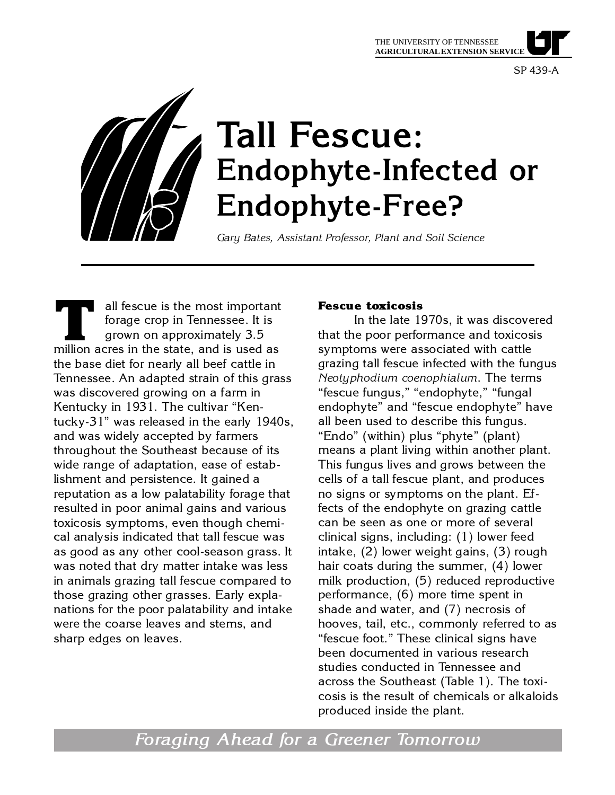SP 439-A



 all fescue is the most important forage crop in Tennessee. It is grown on approximately 3.5 all fescue is the most important forage crop in Tennessee. It is grown on approximately 3.5 million acres in the state, and is used as the base diet for nearly all beef cattle in Tennessee. An adapted strain of this grass was discovered growing on a farm in Kentucky in 1931. The cultivar "Kentucky-31" was released in the early 1940s, and was widely accepted by farmers throughout the Southeast because of its wide range of adaptation, ease of establishment and persistence. It gained a reputation as a low palatability forage that resulted in poor animal gains and various toxicosis symptoms, even though chemical analysis indicated that tall fescue was as good as any other cool-season grass. It was noted that dry matter intake was less in animals grazing tall fescue compared to those grazing other grasses. Early explanations for the poor palatability and intake were the coarse leaves and stems, and sharp edges on leaves.

### **Fescue toxicosis**

In the late 1970s, it was discovered that the poor performance and toxicosis symptoms were associated with cattle grazing tall fescue infected with the fungus *Neotyphodium coenophialum*. The terms "fescue fungus," "endophyte," "fungal endophyte" and "fescue endophyte" have all been used to describe this fungus. "Endo" (within) plus "phyte" (plant) means a plant living within another plant. This fungus lives and grows between the cells of a tall fescue plant, and produces no signs or symptoms on the plant. Effects of the endophyte on grazing cattle can be seen as one or more of several clinical signs, including: (1) lower feed intake, (2) lower weight gains, (3) rough hair coats during the summer, (4) lower milk production, (5) reduced reproductive performance, (6) more time spent in shade and water, and (7) necrosis of hooves, tail, etc., commonly referred to as "fescue foot." These clinical signs have been documented in various research studies conducted in Tennessee and across the Southeast (Table 1). The toxicosis is the result of chemicals or alkaloids produced inside the plant.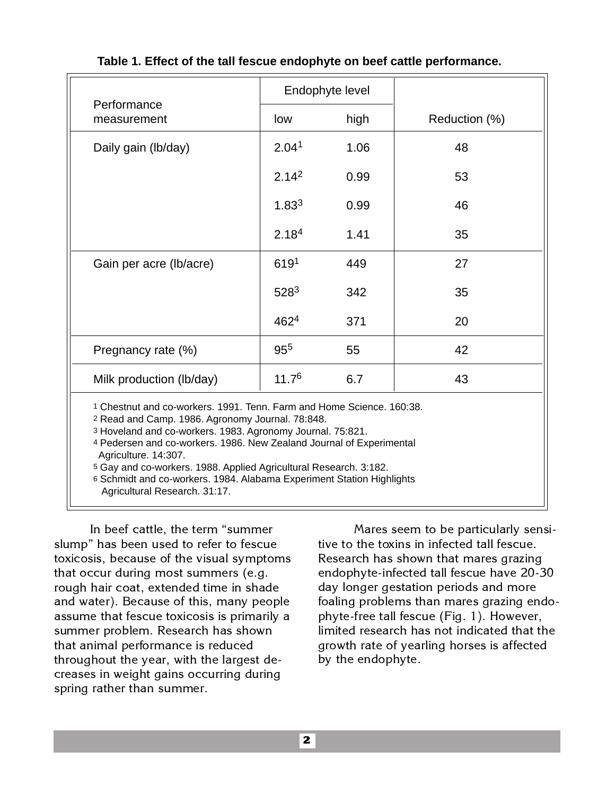| Table 1. Effect of the tall fescue endophyte on beef cattle performance. |  |  |
|--------------------------------------------------------------------------|--|--|
|--------------------------------------------------------------------------|--|--|

|                            |                   | Endophyte level |               |
|----------------------------|-------------------|-----------------|---------------|
| Performance<br>measurement | low               | high            | Reduction (%) |
| Daily gain (lb/day)        | 2.04 <sup>1</sup> | 1.06            | 48            |
|                            | 2.14 <sup>2</sup> | 0.99            | 53            |
|                            | 1.83 <sup>3</sup> | 0.99            | 46            |
|                            | 2.18 <sup>4</sup> | 1.41            | 35            |
| Gain per acre (lb/acre)    | 6191              | 449             | 27            |
|                            | $528^3$           | 342             | 35            |
|                            | 4624              | 371             | 20            |
| Pregnancy rate (%)         | 95 <sup>5</sup>   | 55              | 42            |
| Milk production (lb/day)   | 11.7 <sup>6</sup> | 6.7             | 43            |
| $\sim$ $\sim$              |                   |                 |               |

1 Chestnut and co-workers. 1991. Tenn. Farm and Home Science. 160:38.

2 Read and Camp. 1986. Agronomy Journal. 78:848.

3 Hoveland and co-workers. 1983. Agronomy Journal. 75:821.

4 Pedersen and co-workers. 1986. New Zealand Journal of Experimental Agriculture. 14:307.

5 Gay and co-workers. 1988. Applied Agricultural Research. 3:182.

6 Schmidt and co-workers. 1984. Alabama Experiment Station Highlights Agricultural Research. 31:17.

In beef cattle, the term "summer slump" has been used to refer to fescue toxicosis, because of the visual symptoms that occur during most summers (e.g. rough hair coat, extended time in shade and water). Because of this, many people assume that fescue toxicosis is primarily a summer problem. Research has shown that animal performance is reduced throughout the year, with the largest decreases in weight gains occurring during spring rather than summer.

Mares seem to be particularly sensitive to the toxins in infected tall fescue. Research has shown that mares grazing endophyte-infected tall fescue have 20-30 day longer gestation periods and more foaling problems than mares grazing endophyte-free tall fescue (Fig. 1). However, limited research has not indicated that the growth rate of yearling horses is affected by the endophyte.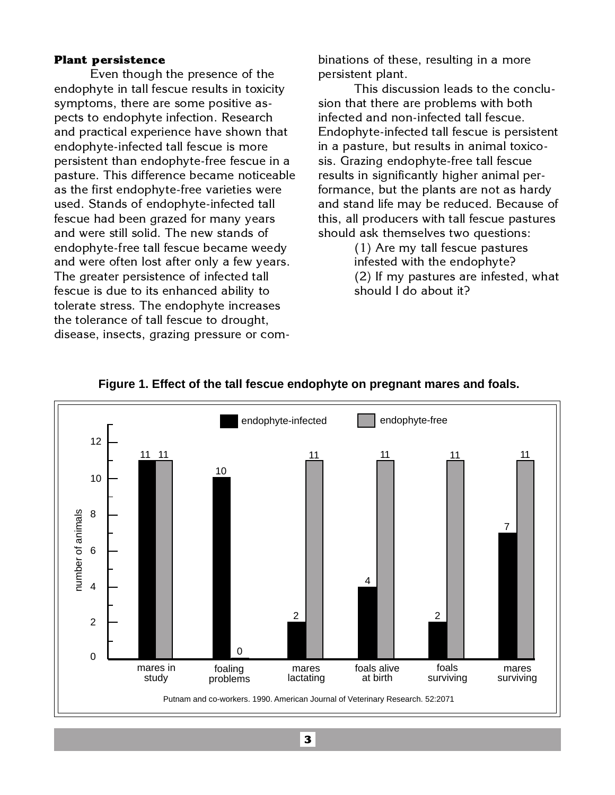### **Plant persistence**

Even though the presence of the endophyte in tall fescue results in toxicity symptoms, there are some positive aspects to endophyte infection. Research and practical experience have shown that endophyte-infected tall fescue is more persistent than endophyte-free fescue in a pasture. This difference became noticeable as the first endophyte-free varieties were used. Stands of endophyte-infected tall fescue had been grazed for many years and were still solid. The new stands of endophyte-free tall fescue became weedy and were often lost after only a few years. The greater persistence of infected tall fescue is due to its enhanced ability to tolerate stress. The endophyte increases the tolerance of tall fescue to drought, disease, insects, grazing pressure or combinations of these, resulting in a more persistent plant.

This discussion leads to the conclusion that there are problems with both infected and non-infected tall fescue. Endophyte-infected tall fescue is persistent in a pasture, but results in animal toxicosis. Grazing endophyte-free tall fescue results in significantly higher animal performance, but the plants are not as hardy and stand life may be reduced. Because of this, all producers with tall fescue pastures should ask themselves two questions:

> (1) Are my tall fescue pastures infested with the endophyte? (2) If my pastures are infested, what should I do about it?



### **Figure 1. Effect of the tall fescue endophyte on pregnant mares and foals.**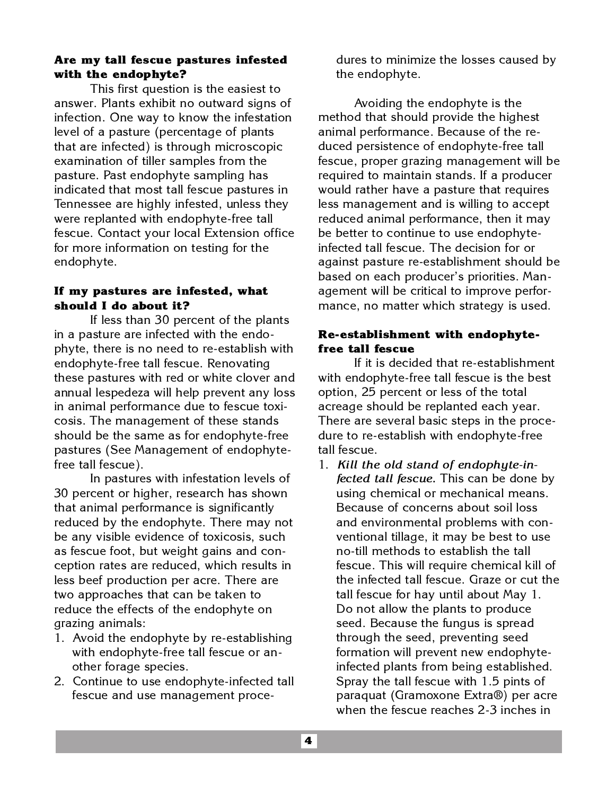# **Are my tall fescue pastures infested with the endophyte?**

This first question is the easiest to answer. Plants exhibit no outward signs of infection. One way to know the infestation level of a pasture (percentage of plants that are infected) is through microscopic examination of tiller samples from the pasture. Past endophyte sampling has indicated that most tall fescue pastures in Tennessee are highly infested, unless they were replanted with endophyte-free tall fescue. Contact your local Extension office for more information on testing for the endophyte.

## **If my pastures are infested, what should I do about it?**

If less than 30 percent of the plants in a pasture are infected with the endophyte, there is no need to re-establish with endophyte-free tall fescue. Renovating these pastures with red or white clover and annual lespedeza will help prevent any loss in animal performance due to fescue toxicosis. The management of these stands should be the same as for endophyte-free pastures (See Management of endophytefree tall fescue).

In pastures with infestation levels of 30 percent or higher, research has shown that animal performance is significantly reduced by the endophyte. There may not be any visible evidence of toxicosis, such as fescue foot, but weight gains and conception rates are reduced, which results in less beef production per acre. There are two approaches that can be taken to reduce the effects of the endophyte on grazing animals:

- 1. Avoid the endophyte by re-establishing with endophyte-free tall fescue or another forage species.
- 2. Continue to use endophyte-infected tall fescue and use management proce-

dures to minimize the losses caused by the endophyte.

Avoiding the endophyte is the method that should provide the highest animal performance. Because of the reduced persistence of endophyte-free tall fescue, proper grazing management will be required to maintain stands. If a producer would rather have a pasture that requires less management and is willing to accept reduced animal performance, then it may be better to continue to use endophyteinfected tall fescue. The decision for or against pasture re-establishment should be based on each producer's priorities. Management will be critical to improve performance, no matter which strategy is used.

# **Re-establishment with endophytefree tall fescue**

If it is decided that re-establishment with endophyte-free tall fescue is the best option, 25 percent or less of the total acreage should be replanted each year. There are several basic steps in the procedure to re-establish with endophyte-free tall fescue.

1. *Kill the old stand of endophyte-infected tall fescue***.** This can be done by using chemical or mechanical means. Because of concerns about soil loss and environmental problems with conventional tillage, it may be best to use no-till methods to establish the tall fescue. This will require chemical kill of the infected tall fescue. Graze or cut the tall fescue for hay until about May 1. Do not allow the plants to produce seed. Because the fungus is spread through the seed, preventing seed formation will prevent new endophyteinfected plants from being established. Spray the tall fescue with 1.5 pints of paraquat (Gramoxone Extra®) per acre when the fescue reaches 2-3 inches in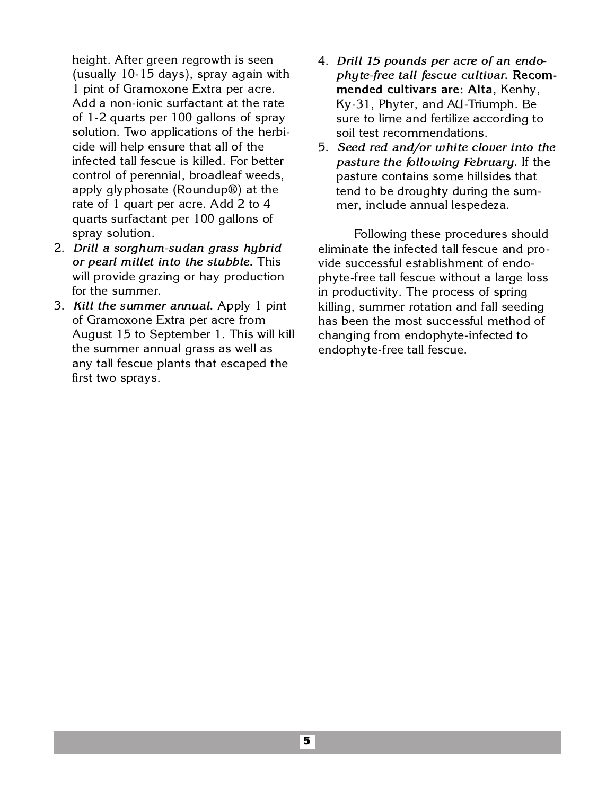height. After green regrowth is seen (usually 10-15 days), spray again with 1 pint of Gramoxone Extra per acre. Add a non-ionic surfactant at the rate of 1-2 quarts per 100 gallons of spray solution. Two applications of the herbicide will help ensure that all of the infected tall fescue is killed. For better control of perennial, broadleaf weeds, apply glyphosate (Roundup®) at the rate of 1 quart per acre. Add 2 to 4 quarts surfactant per 100 gallons of spray solution.

- 2. *Drill a sorghum-sudan grass hybrid or pearl millet into the stubble***.** This will provide grazing or hay production for the summer.
- 3. *Kill the summer annual***.** Apply 1 pint of Gramoxone Extra per acre from August 15 to September 1. This will kill the summer annual grass as well as any tall fescue plants that escaped the first two sprays.
- 4. *Drill 15 pounds per acre of an endophyte-free tall fescue cultivar***. Recommended cultivars are: Alta,** Kenhy, Ky-31, Phyter, and AU-Triumph. Be sure to lime and fertilize according to soil test recommendations.
- 5. *Seed red and/or white clover into the pasture the following February***.** If the pasture contains some hillsides that tend to be droughty during the summer, include annual lespedeza.

Following these procedures should eliminate the infected tall fescue and provide successful establishment of endophyte-free tall fescue without a large loss in productivity. The process of spring killing, summer rotation and fall seeding has been the most successful method of changing from endophyte-infected to endophyte-free tall fescue.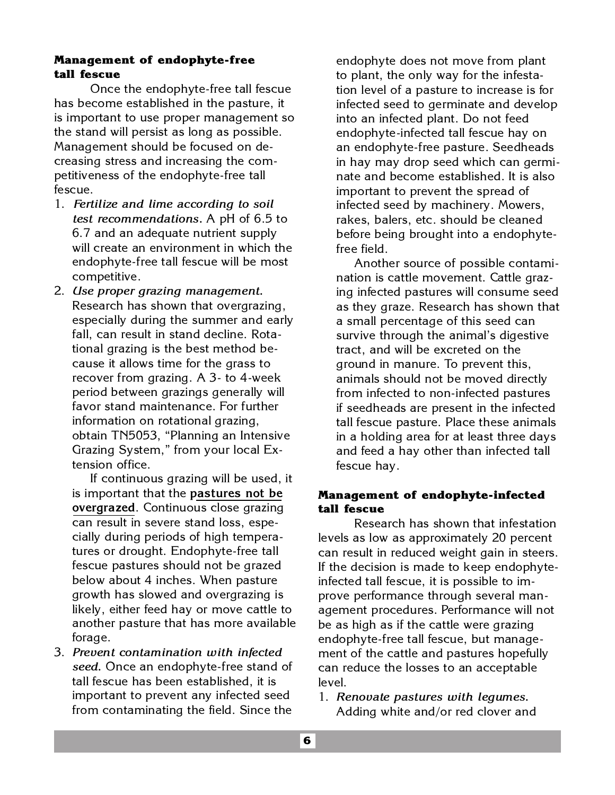## **Management of endophyte-free tall fescue**

Once the endophyte-free tall fescue has become established in the pasture, it is important to use proper management so the stand will persist as long as possible. Management should be focused on decreasing stress and increasing the competitiveness of the endophyte-free tall fescue.

- 1. *Fertilize and lime according to soil test recommendations***.** A pH of 6.5 to 6.7 and an adequate nutrient supply will create an environment in which the endophyte-free tall fescue will be most competitive.
- 2. *Use proper grazing management***.** Research has shown that overgrazing, especially during the summer and early fall, can result in stand decline. Rotational grazing is the best method because it allows time for the grass to recover from grazing. A 3- to 4-week period between grazings generally will favor stand maintenance. For further information on rotational grazing, obtain TN5053, "Planning an Intensive Grazing System," from your local Extension office.

If continuous grazing will be used, it is important that the **pastures not be overgrazed**. Continuous close grazing can result in severe stand loss, especially during periods of high temperatures or drought. Endophyte-free tall fescue pastures should not be grazed below about 4 inches. When pasture growth has slowed and overgrazing is likely, either feed hay or move cattle to another pasture that has more available forage.

3. *Prevent contamination with infected seed***.** Once an endophyte-free stand of tall fescue has been established, it is important to prevent any infected seed from contaminating the field. Since the

endophyte does not move from plant to plant, the only way for the infestation level of a pasture to increase is for infected seed to germinate and develop into an infected plant. Do not feed endophyte-infected tall fescue hay on an endophyte-free pasture. Seedheads in hay may drop seed which can germinate and become established. It is also important to prevent the spread of infected seed by machinery. Mowers, rakes, balers, etc. should be cleaned before being brought into a endophytefree field.

Another source of possible contamination is cattle movement. Cattle grazing infected pastures will consume seed as they graze. Research has shown that a small percentage of this seed can survive through the animal's digestive tract, and will be excreted on the ground in manure. To prevent this, animals should not be moved directly from infected to non-infected pastures if seedheads are present in the infected tall fescue pasture. Place these animals in a holding area for at least three days and feed a hay other than infected tall fescue hay.

# **Management of endophyte-infected tall fescue**

Research has shown that infestation levels as low as approximately 20 percent can result in reduced weight gain in steers. If the decision is made to keep endophyteinfected tall fescue, it is possible to improve performance through several management procedures. Performance will not be as high as if the cattle were grazing endophyte-free tall fescue, but management of the cattle and pastures hopefully can reduce the losses to an acceptable level.

1. *Renovate pastures with legumes***.** Adding white and/or red clover and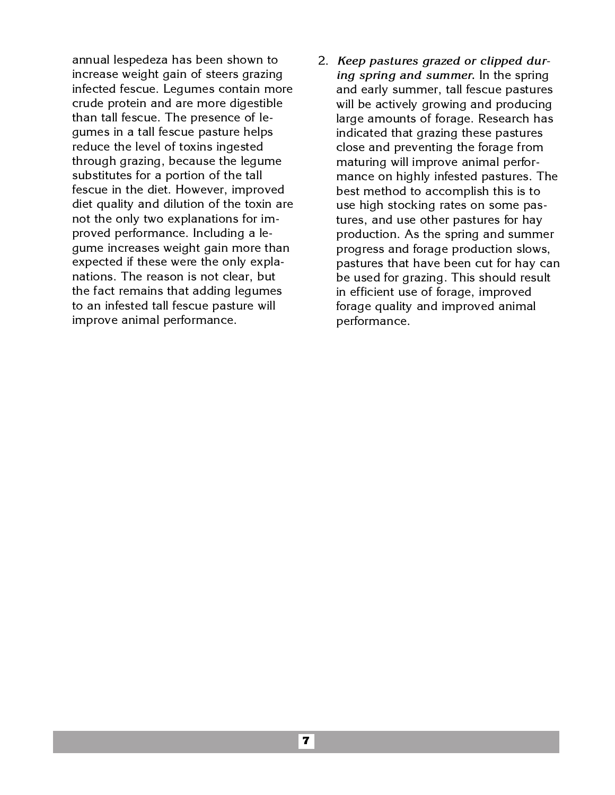annual lespedeza has been shown to increase weight gain of steers grazing infected fescue. Legumes contain more crude protein and are more digestible than tall fescue. The presence of legumes in a tall fescue pasture helps reduce the level of toxins ingested through grazing, because the legume substitutes for a portion of the tall fescue in the diet. However, improved diet quality and dilution of the toxin are not the only two explanations for improved performance. Including a legume increases weight gain more than expected if these were the only explanations. The reason is not clear, but the fact remains that adding legumes to an infested tall fescue pasture will improve animal performance.

2. *Keep pastures grazed or clipped during spring and summer***.** In the spring and early summer, tall fescue pastures will be actively growing and producing large amounts of forage. Research has indicated that grazing these pastures close and preventing the forage from maturing will improve animal performance on highly infested pastures. The best method to accomplish this is to use high stocking rates on some pastures, and use other pastures for hay production. As the spring and summer progress and forage production slows, pastures that have been cut for hay can be used for grazing. This should result in efficient use of forage, improved forage quality and improved animal performance.